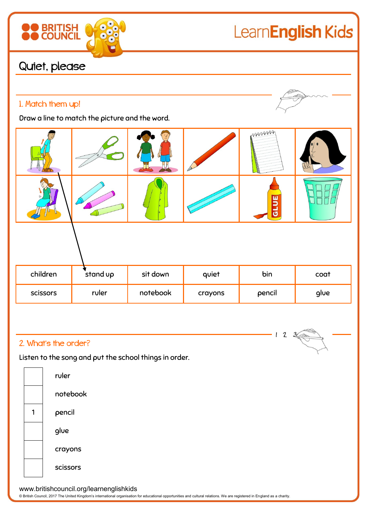# LearnEnglish Kids

### Quiet, please

**BRITISH** 

### 1. Match them up!

Draw a line to match the picture and the word.



#### 2. What's the order?

Listen to the song and put the school things in order.





www.britishcouncil.org/learnenglishkids

© British Council, 2017 The United Kingdom's international organisation for educational opportunities and cultural relations. We are registered in England as a charity.